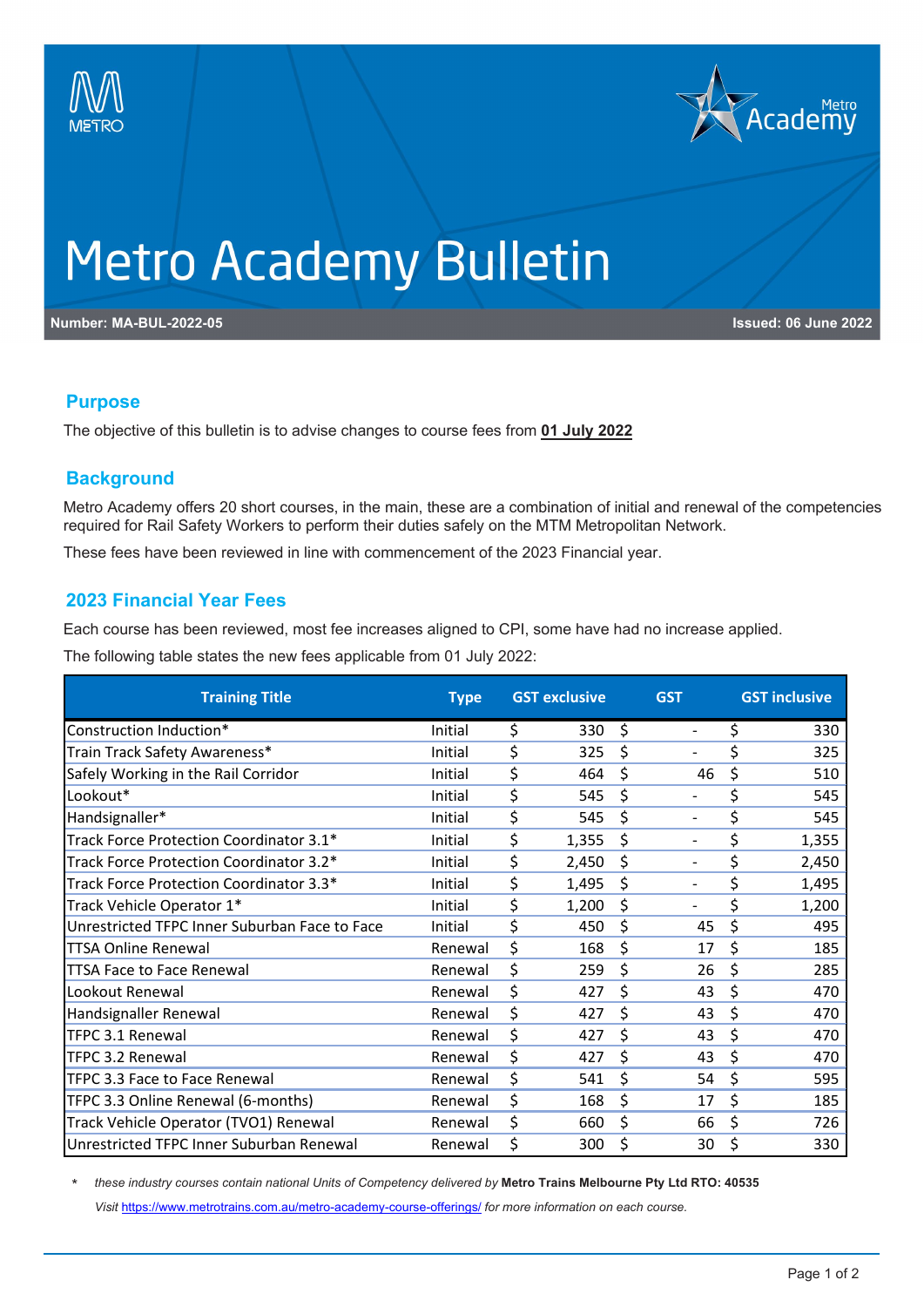



## **Metro Academy Bulletin**

**Number: MA-BUL-2022-05 Issued: 06 June 2022**

#### **Purpose**

The objective of this bulletin is to advise changes to course fees from **01 July 2022**

#### **Background**

Metro Academy offers 20 short courses, in the main, these are a combination of initial and renewal of the competencies required for Rail Safety Workers to perform their duties safely on the MTM Metropolitan Network.

These fees have been reviewed in line with commencement of the 2023 Financial year.

#### **2023 Financial Year Fees**

Each course has been reviewed, most fee increases aligned to CPI, some have had no increase applied.

The following table states the new fees applicable from 01 July 2022:

| <b>Training Title</b>                         | <b>Type</b> | <b>GST exclusive</b> | <b>GST</b>                     | <b>GST inclusive</b> |
|-----------------------------------------------|-------------|----------------------|--------------------------------|----------------------|
| Construction Induction*                       | Initial     | \$<br>330            | \$<br>$\overline{\phantom{a}}$ | \$<br>330            |
| Train Track Safety Awareness*                 | Initial     | \$<br>325            | \$                             | \$<br>325            |
| Safely Working in the Rail Corridor           | Initial     | \$<br>464            | \$<br>46                       | \$<br>510            |
| Lookout*                                      | Initial     | \$<br>545            | \$<br>$\overline{\phantom{a}}$ | \$<br>545            |
| Handsignaller*                                | Initial     | \$<br>545            | \$<br>$\overline{\phantom{a}}$ | \$<br>545            |
| Track Force Protection Coordinator 3.1*       | Initial     | \$<br>1,355          | \$<br>$\overline{\phantom{a}}$ | \$<br>1,355          |
| Track Force Protection Coordinator 3.2*       | Initial     | \$<br>2,450          | \$<br>$\overline{\phantom{a}}$ | \$<br>2,450          |
| Track Force Protection Coordinator 3.3*       | Initial     | \$<br>1,495          | \$<br>$\overline{\phantom{a}}$ | \$<br>1,495          |
| Track Vehicle Operator 1*                     | Initial     | \$<br>1,200          | \$<br>$\overline{\phantom{a}}$ | \$<br>1,200          |
| Unrestricted TFPC Inner Suburban Face to Face | Initial     | \$<br>450            | \$<br>45                       | \$<br>495            |
| <b>TTSA Online Renewal</b>                    | Renewal     | \$<br>168            | \$<br>17                       | \$<br>185            |
| TTSA Face to Face Renewal                     | Renewal     | \$<br>259            | \$<br>26                       | \$<br>285            |
| Lookout Renewal                               | Renewal     | \$<br>427            | \$<br>43                       | \$<br>470            |
| Handsignaller Renewal                         | Renewal     | \$<br>427            | \$<br>43                       | \$<br>470            |
| TFPC 3.1 Renewal                              | Renewal     | \$<br>427            | \$<br>43                       | \$<br>470            |
| TFPC 3.2 Renewal                              | Renewal     | \$<br>427            | \$<br>43                       | \$<br>470            |
| TFPC 3.3 Face to Face Renewal                 | Renewal     | \$<br>541            | \$<br>54                       | \$<br>595            |
| TFPC 3.3 Online Renewal (6-months)            | Renewal     | \$<br>168            | \$<br>17                       | \$<br>185            |
| Track Vehicle Operator (TVO1) Renewal         | Renewal     | \$<br>660            | \$<br>66                       | \$<br>726            |
| Unrestricted TFPC Inner Suburban Renewal      | Renewal     | \$<br>300            | \$<br>30                       | \$<br>330            |

\* *these industry courses contain national Units of Competency delivered by* **Metro Trains Melbourne Pty Ltd RTO: 40535** *Visit* <https://www.metrotrains.com.au/metro-academy-course-offerings/> *for more information on each course.*